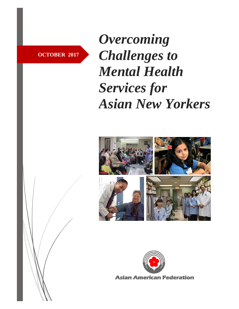**OCTOBER 2017**

*Overcoming Challenges to Mental Health Services for Asian New Yorkers*



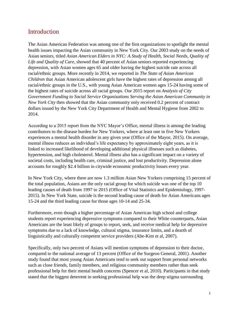# Introduction

The Asian American Federation was among one of the first organizations to spotlight the mental health issues impacting the Asian community in New York City. Our 2003 study on the needs of Asian seniors, titled *Asian American Elders in NYC: A Study of Health, Social Needs, Quality of Life and Quality of Care*, showed that 40 percent of Asian seniors reported experiencing depression, with Asian women ages 65 and older having the highest suicide rate across all racial/ethnic groups. More recently in 2014, we reported in *The State of Asian American Children* that Asian American adolescent girls have the highest rates of depression among all racial/ethnic groups in the U.S., with young Asian American women ages 15-24 having some of the highest rates of suicide across all racial groups. Our 2015 report on *Analysis of City Government Funding to Social Service Organizations Serving the Asian American Community in New York City* then showed that the Asian community only received 0.2 percent of contract dollars issued by the New York City Department of Health and Mental Hygiene from 2002 to 2014.

According to a 2015 report from the NYC Mayor's Office, mental illness is among the leading contributors to the disease burden for New Yorkers, where at least one in five New Yorkers experiences a mental health disorder in any given year (Office of the Mayor, 2015). On average, mental illness reduces an individual's life expectancy by approximately eight years, as it is linked to increased likelihood of developing additional physical illnesses such as diabetes, hypertension, and high cholesterol. Mental illness also has a significant impact on a variety of societal costs, including health care, criminal justice, and lost productivity. Depression alone accounts for roughly \$2.4 billion in citywide economic productivity losses every year.

In New York City, where there are now 1.3 million Asian New Yorkers comprising 15 percent of the total population, Asians are the only racial group for which suicide was one of the top 10 leading causes of death from 1997 to 2015 (Office of Vital Statistics and Epidemiology, 1997- 2015). In New York State, suicide is the second leading cause of death for Asian Americans ages 15-24 and the third leading cause for those ages 10-14 and 25-34.

Furthermore, even though a higher percentage of Asian American high school and college students report experiencing depressive symptoms compared to their White counterparts, Asian Americans are the least likely of groups to report, seek, and receive medical help for depressive symptoms due to a lack of knowledge, cultural stigma, insurance limits, and a dearth of linguistically and culturally competent service providers (Abe-Kim et al, 2007).

Specifically, only two percent of Asians will mention symptoms of depression to their doctor, compared to the national average of 13 percent (Office of the Surgeon General, 2001). Another study found that most young Asian Americans tend to seek out support from personal networks such as close friends, family members, and religious community members rather than seek professional help for their mental health concerns (Spencer et al, 2010). Participants in that study stated that the biggest deterrent in seeking professional help was the deep stigma surrounding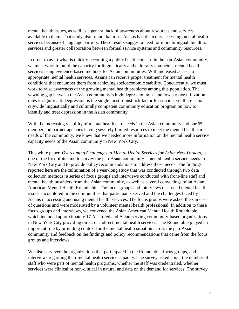mental health issues, as well as a general lack of awareness about resources and services available to them. That study also found that most Asians had difficulty accessing mental health services because of language barriers. These results suggest a need for more bilingual, bicultural services and greater collaboration between formal service systems and community resources.

In order to avert what is quickly becoming a public health concern in the pan-Asian community, we must work to build the capacity for linguistically and culturally competent mental health services using evidence-based methods for Asian communities. With increased access to appropriate mental health services, Asians can receive proper treatment for mental health conditions that encumber them from achieving socioeconomic stability. Concurrently, we must work to raise awareness of the growing mental health problems among this population. The yawning gap between the Asian community's high depression rates and low service utilization rates is significant. Depression is the single most robust risk factor for suicide, yet there is no citywide linguistically and culturally competent community education program on how to identify and treat depression in the Asian community.

With the increasing visibility of mental health care needs in the Asian community and our 65 member and partner agencies having severely limited resources to meet the mental health care needs of the community, we knew that we needed more information on the mental health service capacity needs of the Asian community in New York City.

This white paper, *Overcoming Challenges to Mental Health Services for Asian New Yorkers*, is one of the first of its kind to survey the pan-Asian community's mental health service needs in New York City and to provide policy recommendations to address those needs. The findings reported here are the culmination of a year-long study that was conducted through two data collection methods: a series of focus groups and interviews conducted with front-line staff and mental health providers from the Asian community, as well as several convenings of an Asian American Mental Health Roundtable. The focus groups and interviews discussed mental health issues encountered in the communities that participants served and the challenges faced by Asians in accessing and using mental health services. The focus groups were asked the same set of questions and were moderated by a volunteer mental health professional. In addition to these focus groups and interviews, we convened the Asian American Mental Health Roundtable, which included approximately 17 Asian-led and Asian-serving community-based organizations in New York City providing direct or indirect mental health services. The Roundtable played an important role by providing context for the mental health situation across the pan-Asian community and feedback on the findings and policy recommendations that came from the focus groups and interviews.

We also surveyed the organizations that participated in the Roundtable, focus groups, and interviews regarding their mental health service capacity. The survey asked about the number of staff who were part of mental health programs, whether the staff was credentialed, whether services were clinical or non-clinical in nature, and data on the demand for services. The survey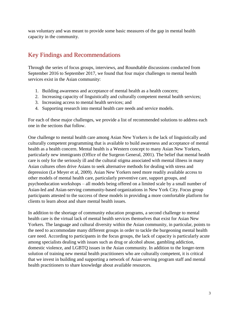was voluntary and was meant to provide some basic measures of the gap in mental health capacity in the community.

# Key Findings and Recommendations

Through the series of focus groups, interviews, and Roundtable discussions conducted from September 2016 to September 2017, we found that four major challenges to mental health services exist in the Asian community:

- 1. Building awareness and acceptance of mental health as a health concern;
- 2. Increasing capacity of linguistically and culturally competent mental health services;
- 3. Increasing access to mental health services; and
- 4. Supporting research into mental health care needs and service models.

For each of these major challenges, we provide a list of recommended solutions to address each one in the sections that follow.

One challenge to mental health care among Asian New Yorkers is the lack of linguistically and culturally competent programming that is available to build awareness and acceptance of mental health as a health concern. Mental health is a Western concept to many Asian New Yorkers, particularly new immigrants (Office of the Surgeon General, 2001). The belief that mental health care is only for the seriously ill and the cultural stigma associated with mental illness in many Asian cultures often drive Asians to seek alternative methods for dealing with stress and depression (Le Meyer et al, 2009). Asian New Yorkers need more readily available access to other models of mental health care, particularly preventive care, support groups, and psychoeducation workshops – all models being offered on a limited scale by a small number of Asian-led and Asian-serving community-based organizations in New York City. Focus group participants attested to the success of these models in providing a more comfortable platform for clients to learn about and share mental health issues.

In addition to the shortage of community education programs, a second challenge to mental health care is the virtual lack of mental health services themselves that exist for Asian New Yorkers. The language and cultural diversity within the Asian community, in particular, points to the need to accommodate many different groups in order to tackle the burgeoning mental health care need. According to participants in the focus groups, the lack of capacity is particularly acute among specialists dealing with issues such as drug or alcohol abuse, gambling addiction, domestic violence, and LGBTQ issues in the Asian community. In addition to the longer-term solution of training new mental health practitioners who are culturally competent, it is critical that we invest in building and supporting a network of Asian-serving program staff and mental health practitioners to share knowledge about available resources.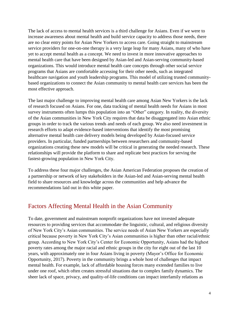The lack of access to mental health services is a third challenge for Asians. Even if we were to increase awareness about mental health and build service capacity to address those needs, there are no clear entry points for Asian New Yorkers to access care. Going straight to mainstream service providers for one-on-one therapy is a very large leap for many Asians, many of who have yet to accept mental health as a concept. We need to invest in more innovative approaches to mental health care that have been designed by Asian-led and Asian-serving community-based organizations. This would introduce mental health care concepts through other social service programs that Asians are comfortable accessing for their other needs, such as integrated healthcare navigation and youth leadership programs. This model of utilizing trusted communitybased organizations to connect the Asian community to mental health care services has been the most effective approach.

The last major challenge to improving mental health care among Asian New Yorkers is the lack of research focused on Asians. For one, data tracking of mental health needs for Asians in most survey instruments often lumps this population into an "Other" category. In reality, the diversity of the Asian communities in New York City requires that data be disaggregated into Asian ethnic groups in order to track the various trends and needs of each group. We also need investment in research efforts to adapt evidence-based interventions that identify the most promising alternative mental health care delivery models being developed by Asian-focused service providers. In particular, funded partnerships between researchers and community-based organizations creating these new models will be critical in generating the needed research. These relationships will provide the platform to share and replicate best practices for serving the fastest-growing population in New York City.

To address these four major challenges, the Asian American Federation proposes the creation of a partnership or network of key stakeholders in the Asian-led and Asian-serving mental health field to share resources and knowledge across the communities and help advance the recommendations laid out in this white paper.

### Factors Affecting Mental Health in the Asian Community

To date, government and mainstream nonprofit organizations have not invested adequate resources to providing services that accommodate the linguistic, cultural, and religious diversity of New York City's Asian communities. The service needs of Asian New Yorkers are especially critical because poverty in New York City's Asian communities is higher than other racial/ethnic group. According to New York City's Center for Economic Opportunity, Asians had the highest poverty rates among the major racial and ethnic groups in the city for eight out of the last 10 years, with approximately one in four Asians living in poverty (Mayor's Office for Economic Opportunity, 2017). Poverty in the community brings a whole host of challenges that impact mental health. For example, lack of affordable housing forces many extended families to live under one roof, which often creates stressful situations due to complex family dynamics. The sheer lack of space, privacy, and quality-of-life conditions can impact interfamily relations as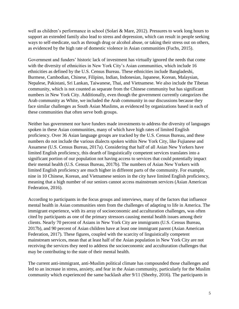well as children's performance in school (Solari & Mare, 2012). Pressures to work long hours to support an extended family also lead to stress and depression, which can result in people seeking ways to self-medicate, such as through drug or alcohol abuse, or taking their stress out on others, as evidenced by the high rate of domestic violence in Asian communities (Fuchs, 2015).

Government and funders' historic lack of investment has virtually ignored the needs that come with the diversity of ethnicities in New York City's Asian communities, which include 16 ethnicities as defined by the U.S. Census Bureau. These ethnicities include Bangladeshi, Burmese, Cambodian, Chinese, Filipino, Indian, Indonesian, Japanese, Korean, Malaysian, Nepalese, Pakistani, Sri Lankan, Taiwanese, Thai, and Vietnamese. We also include the Tibetan community, which is not counted as separate from the Chinese community but has significant numbers in New York City. Additionally, even though the government currently categorizes the Arab community as White, we included the Arab community in our discussions because they face similar challenges as South Asian Muslims, as evidenced by organizations based in each of these communities that often serve both groups.

Neither has government nor have funders made investments to address the diversity of languages spoken in these Asian communities, many of which have high rates of limited English proficiency. Over 36 Asian language groups are tracked by the U.S. Census Bureau, and these numbers do not include the various dialects spoken within New York City, like Fujianese and Assamese (U.S. Census Bureau, 2017a). Considering that half of all Asian New Yorkers have limited English proficiency, this dearth of linguistically competent services translates into a significant portion of our population not having access to services that could potentially impact their mental health (U.S. Census Bureau, 2017b). The numbers of Asian New Yorkers with limited English proficiency are much higher in different parts of the community. For example, nine in 10 Chinese, Korean, and Vietnamese seniors in the city have limited English proficiency, meaning that a high number of our seniors cannot access mainstream services (Asian American Federation, 2016).

According to participants in the focus groups and interviews, many of the factors that influence mental health in Asian communities stem from the challenges of adapting to life in America. The immigrant experience, with its array of socioeconomic and acculturation challenges, was often cited by participants as one of the primary stressors causing mental health issues among their clients. Nearly 70 percent of Asians in New York City are immigrants (U.S. Census Bureau, 2017b), and 90 percent of Asian children have at least one immigrant parent (Asian American Federation, 2017). These figures, coupled with the scarcity of linguistically competent mainstream services, mean that at least half of the Asian population in New York City are not receiving the services they need to address the socioeconomic and acculturation challenges that may be contributing to the state of their mental health.

The current anti-immigrant, anti-Muslim political climate has compounded those challenges and led to an increase in stress, anxiety, and fear in the Asian community, particularly for the Muslim community which experienced the same backlash after 9/11 (Sheehy, 2016). The participants in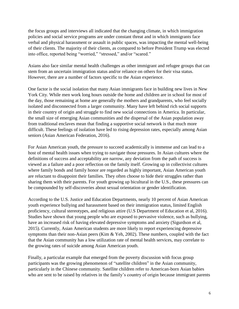the focus groups and interviews all indicated that the changing climate, in which immigration policies and social service programs are under constant threat and in which immigrants face verbal and physical harassment or assault in public spaces, was impacting the mental well-being of their clients. The majority of their clients, as compared to before President Trump was elected into office, reported being "worried," "stressed," and/or "scared."

Asians also face similar mental health challenges as other immigrant and refugee groups that can stem from an uncertain immigration status and/or reliance on others for their visa status. However, there are a number of factors specific to the Asian experience.

One factor is the social isolation that many Asian immigrants face in building new lives in New York City. While men work long hours outside the home and children are in school for most of the day, those remaining at home are generally the mothers and grandparents, who feel socially isolated and disconnected from a larger community. Many have left behind rich social supports in their country of origin and struggle to find new social connections in America. In particular, the small size of emerging Asian communities and the dispersal of the Asian population away from traditional enclaves mean that finding a supportive social network is that much more difficult. These feelings of isolation have led to rising depression rates, especially among Asian seniors (Asian American Federation, 2016).

For Asian American youth, the pressure to succeed academically is immense and can lead to a host of mental health issues when trying to navigate those pressures. In Asian cultures where the definitions of success and acceptability are narrow, any deviation from the path of success is viewed as a failure and a poor reflection on the family itself. Growing up in collectivist cultures where family bonds and family honor are regarded as highly important, Asian American youth are reluctant to disappoint their families. They often choose to hide their struggles rather than sharing them with their parents. For youth growing up bicultural in the U.S., these pressures can be compounded by self-discoveries about sexual orientation or gender identification.

According to the U.S. Justice and Education Departments, nearly 10 percent of Asian American youth experience bullying and harassment based on their immigration status, limited English proficiency, cultural stereotypes, and religious attire (U.S Department of Education et al, 2016). Studies have shown that young people who are exposed to pervasive violence, such as bullying, have an increased risk of having elevated depressive symptoms and anxiety (Sigurdson et al, 2015). Currently, Asian American students are more likely to report experiencing depressive symptoms than their non-Asian peers (Kim & Yeh, 2002). These numbers, coupled with the fact that the Asian community has a low utilization rate of mental health services, may correlate to the growing rates of suicide among Asian American youth.

Finally, a particular example that emerged from the poverty discussion with focus group participants was the growing phenomenon of "satellite children" in the Asian community, particularly in the Chinese community. Satellite children refer to American-born Asian babies who are sent to be raised by relatives in the family's country of origin because immigrant parents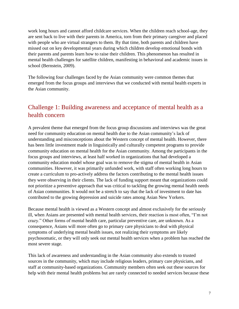work long hours and cannot afford childcare services. When the children reach school-age, they are sent back to live with their parents in America, torn from their primary caregiver and placed with people who are virtual strangers to them. By that time, both parents and children have missed out on key developmental years during which children develop emotional bonds with their parents and parents learn how to raise their children. This phenomenon has resulted in mental health challenges for satellite children, manifesting in behavioral and academic issues in school (Bernstein, 2009).

The following four challenges faced by the Asian community were common themes that emerged from the focus groups and interviews that we conducted with mental health experts in the Asian community.

# Challenge 1: Building awareness and acceptance of mental health as a health concern

A prevalent theme that emerged from the focus group discussions and interviews was the great need for community education on mental health due to the Asian community's lack of understanding and misconceptions about the Western concept of mental health. However, there has been little investment made in linguistically and culturally competent programs to provide community education on mental health for the Asian community. Among the participants in the focus groups and interviews, at least half worked in organizations that had developed a community education model whose goal was to remove the stigma of mental health in Asian communities. However, it was primarily unfunded work, with staff often working long hours to create a curriculum to pro-actively address the factors contributing to the mental health issues they were observing in their clients. The lack of funding support meant that organizations could not prioritize a preventive approach that was critical to tackling the growing mental health needs of Asian communities. It would not be a stretch to say that the lack of investment to date has contributed to the growing depression and suicide rates among Asian New Yorkers.

Because mental health is viewed as a Western concept and almost exclusively for the seriously ill, when Asians are presented with mental health services, their reaction is most often, "I'm not crazy." Other forms of mental health care, particular preventive care, are unknown. As a consequence, Asians will more often go to primary care physicians to deal with physical symptoms of underlying mental health issues, not realizing their symptoms are likely psychosomatic, or they will only seek out mental health services when a problem has reached the most severe stage.

This lack of awareness and understanding in the Asian community also extends to trusted sources in the community, which may include religious leaders, primary care physicians, and staff at community-based organizations. Community members often seek out these sources for help with their mental health problems but are rarely connected to needed services because these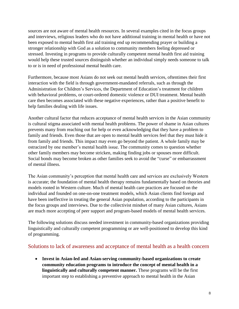sources are not aware of mental health resources. In several examples cited in the focus groups and interviews, religious leaders who do not have additional training in mental health or have not been exposed to mental health first aid training end up recommending prayer or building a stronger relationship with God as a solution to community members feeling depressed or stressed. Investing in programs to provide culturally competent mental health first aid training would help these trusted sources distinguish whether an individual simply needs someone to talk to or is in need of professional mental health care.

Furthermore, because most Asians do not seek out mental health services, oftentimes their first interaction with the field is through government-mandated referrals, such as through the Administration for Children's Services, the Department of Education's treatment for children with behavioral problems, or court-ordered domestic violence or DUI treatment. Mental health care then becomes associated with these negative experiences, rather than a positive benefit to help families dealing with life issues.

Another cultural factor that reduces acceptance of mental health services in the Asian community is cultural stigma associated with mental health problems. The power of shame in Asian cultures prevents many from reaching out for help or even acknowledging that they have a problem to family and friends. Even those that are open to mental health services feel that they must hide it from family and friends. This impact may even go beyond the patient. A whole family may be ostracized by one member's mental health issue. The community comes to question whether other family members may become stricken, making finding jobs or spouses more difficult. Social bonds may become broken as other families seek to avoid the "curse" or embarrassment of mental illness.

The Asian community's perception that mental health care and services are exclusively Western is accurate; the foundation of mental health therapy remains fundamentally based on theories and models rooted in Western culture. Much of mental health care practices are focused on the individual and founded on one-on-one treatment models, which Asian clients find foreign and have been ineffective in treating the general Asian population, according to the participants in the focus groups and interviews. Due to the collectivist mindset of many Asian cultures, Asians are much more accepting of peer support and program-based models of mental health services.

The following solutions discuss needed investment in community-based organizations providing linguistically and culturally competent programming or are well-positioned to develop this kind of programming.

#### Solutions to lack of awareness and acceptance of mental health as a health concern

 **Invest in Asian-led and Asian-serving community-based organizations to create community education programs to introduce the concept of mental health in a linguistically and culturally competent manner.** These programs will be the first important step to establishing a preventive approach to mental health in the Asian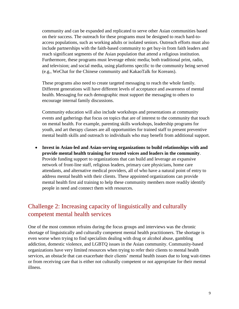community and can be expanded and replicated to serve other Asian communities based on their success. The outreach for these programs must be designed to reach hard-toaccess populations, such as working adults or isolated seniors. Outreach efforts must also include partnerships with the faith-based community to get buy-in from faith leaders and reach significant segments of the Asian population that attend a religious institution. Furthermore, these programs must leverage ethnic media; both traditional print, radio, and television; and social media, using platforms specific to the community being served (e.g., WeChat for the Chinese community and KakaoTalk for Koreans).

These programs also need to create targeted messaging to reach the whole family. Different generations will have different levels of acceptance and awareness of mental health. Messaging for each demographic must support the messaging to others to encourage internal family discussions.

Community education will also include workshops and presentations at community events and gatherings that focus on topics that are of interest to the community that touch on mental health. For example, parenting skills workshops, leadership programs for youth, and art therapy classes are all opportunities for trained staff to present preventive mental health skills and outreach to individuals who may benefit from additional support.

 **Invest in Asian-led and Asian-serving organizations to build relationships with and provide mental health training for trusted voices and leaders in the community**. Provide funding support to organizations that can build and leverage an expansive network of front-line staff, religious leaders, primary care physicians, home care attendants, and alternative medical providers, all of who have a natural point of entry to address mental health with their clients. These appointed organizations can provide mental health first aid training to help these community members more readily identify people in need and connect them with resources.

# Challenge 2: Increasing capacity of linguistically and culturally competent mental health services

One of the most common refrains during the focus groups and interviews was the chronic shortage of linguistically and culturally competent mental health practitioners. The shortage is even worse when trying to find specialists dealing with drug or alcohol abuse, gambling addiction, domestic violence, and LGBTQ issues in the Asian community. Community-based organizations have very limited resources when trying to refer their clients to mental health services, an obstacle that can exacerbate their clients' mental health issues due to long wait-times or from receiving care that is either not culturally competent or not appropriate for their mental illness.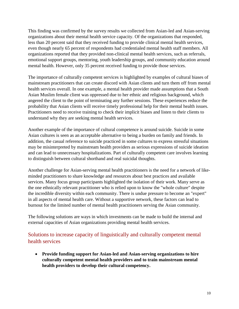This finding was confirmed by the survey results we collected from Asian-led and Asian-serving organizations about their mental health service capacity. Of the organizations that responded, less than 20 percent said that they received funding to provide clinical mental health services, even though nearly 65 percent of respondents had credentialed mental health staff members. All organizations reported that they provided non-clinical mental health services, such as referrals, emotional support groups, mentoring, youth leadership groups, and community education around mental health. However, only 35 percent received funding to provide those services.

The importance of culturally competent services is highlighted by examples of cultural biases of mainstream practitioners that can create discord with Asian clients and turn them off from mental health services overall. In one example, a mental health provider made assumptions that a South Asian Muslim female client was oppressed due to her ethnic and religious background, which angered the client to the point of terminating any further sessions. These experiences reduce the probability that Asian clients will receive timely professional help for their mental health issues. Practitioners need to receive training to check their implicit biases and listen to their clients to understand why they are seeking mental health services.

Another example of the importance of cultural competence is around suicide. Suicide in some Asian cultures is seen as an acceptable alternative to being a burden on family and friends. In addition, the casual reference to suicide practiced in some cultures to express stressful situations may be misinterpreted by mainstream health providers as serious expressions of suicide ideation and can lead to unnecessary hospitalizations. Part of culturally competent care involves learning to distinguish between cultural shorthand and real suicidal thoughts.

Another challenge for Asian-serving mental health practitioners is the need for a network of likeminded practitioners to share knowledge and resources about best practices and available services. Many focus group participants highlighted the isolation of their work. Many serve as the one ethnically relevant practitioner who is relied upon to know the "whole culture" despite the incredible diversity within each community. There is undue pressure to become an "expert" in all aspects of mental health care. Without a supportive network, these factors can lead to burnout for the limited number of mental health practitioners serving the Asian community.

The following solutions are ways in which investments can be made to build the internal and external capacities of Asian organizations providing mental health services.

#### Solutions to increase capacity of linguistically and culturally competent mental health services

 **Provide funding support for Asian-led and Asian-serving organizations to hire culturally competent mental health providers and to train mainstream mental health providers to develop their cultural competency.**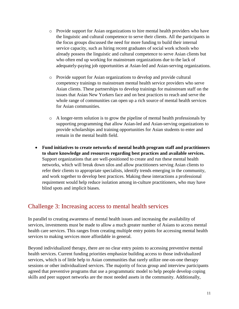- o Provide support for Asian organizations to hire mental health providers who have the linguistic and cultural competence to serve their clients. All the participants in the focus groups discussed the need for more funding to build their internal service capacity, such as hiring recent graduates of social work schools who already possess the linguistic and cultural competence to serve Asian clients but who often end up working for mainstream organizations due to the lack of adequately-paying job opportunities at Asian-led and Asian-serving organizations.
- o Provide support for Asian organizations to develop and provide cultural competency trainings to mainstream mental health service providers who serve Asian clients. These partnerships to develop trainings for mainstream staff on the issues that Asian New Yorkers face and on best practices to reach and serve the whole range of communities can open up a rich source of mental health services for Asian communities.
- o A longer-term solution is to grow the pipeline of mental health professionals by supporting programming that allow Asian-led and Asian-serving organizations to provide scholarships and training opportunities for Asian students to enter and remain in the mental health field.
- **Fund initiatives to create networks of mental health program staff and practitioners to share knowledge and resources regarding best practices and available services.** Support organizations that are well-positioned to create and run these mental health networks, which will break down silos and allow practitioners serving Asian clients to refer their clients to appropriate specialists, identify trends emerging in the community, and work together to develop best practices. Making these interactions a professional requirement would help reduce isolation among in-culture practitioners, who may have blind spots and implicit biases.

### Challenge 3: Increasing access to mental health services

In parallel to creating awareness of mental health issues and increasing the availability of services, investments must be made to allow a much greater number of Asians to access mental health care services. This ranges from creating multiple entry points for accessing mental health services to making services more affordable in general.

Beyond individualized therapy, there are no clear entry points to accessing preventive mental health services. Current funding priorities emphasize building access to those individualized services, which is of little help to Asian communities that rarely utilize one-on-one therapy sessions or other individualized services. The majority of focus group and interview participants agreed that preventive programs that use a programmatic model to help people develop coping skills and peer support networks are the most needed assets in the community. Additionally,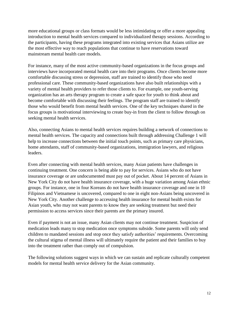more educational groups or class formats would be less intimidating or offer a more appealing introduction to mental health services compared to individualized therapy sessions. According to the participants, having these programs integrated into existing services that Asians utilize are the most effective way to reach populations that continue to have reservations toward mainstream mental health care models.

For instance, many of the most active community-based organizations in the focus groups and interviews have incorporated mental health care into their programs. Once clients become more comfortable discussing stress or depression, staff are trained to identify those who need professional care. These community-based organizations have also built relationships with a variety of mental health providers to refer those clients to. For example, one youth-serving organization has an arts therapy program to create a safe space for youth to think about and become comfortable with discussing their feelings. The program staff are trained to identify those who would benefit from mental health services. One of the key techniques shared in the focus groups is motivational interviewing to create buy-in from the client to follow through on seeking mental health services.

Also, connecting Asians to mental health services requires building a network of connections to mental health services. The capacity and connections built through addressing Challenge 1 will help to increase connections between the initial touch points, such as primary care physicians, home attendants, staff of community-based organizations, immigration lawyers, and religious leaders.

Even after connecting with mental health services, many Asian patients have challenges in continuing treatment. One concern is being able to pay for services. Asians who do not have insurance coverage or are undocumented must pay out of pocket. About 14 percent of Asians in New York City do not have health insurance coverage, with a huge variation among Asian ethnic groups. For instance, one in four Koreans do not have health insurance coverage and one in 10 Filipinos and Vietnamese is uncovered, compared to one in eight non-Asians being uncovered in New York City. Another challenge to accessing health insurance for mental health exists for Asian youth, who may not want parents to know they are seeking treatment but need their permission to access services since their parents are the primary insured.

Even if payment is not an issue, many Asian clients may not continue treatment. Suspicion of medication leads many to stop medication once symptoms subside. Some parents will only send children to mandated sessions and stop once they satisfy authorities' requirements. Overcoming the cultural stigma of mental illness will ultimately require the patient and their families to buy into the treatment rather than comply out of compulsion.

The following solutions suggest ways in which we can sustain and replicate culturally competent models for mental health service delivery for the Asian community.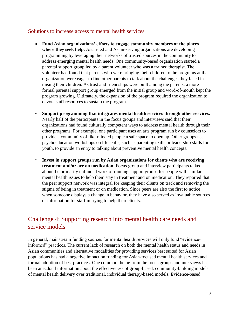#### Solutions to increase access to mental health services

- **Fund Asian organizations' efforts to engage community members at the places where they seek help.** Asian-led and Asian-serving organizations are developing programming by leveraging their networks of trusted sources in the community to address emerging mental health needs. One community-based organization started a parental support group led by a parent volunteer who was a trained therapist. The volunteer had found that parents who were bringing their children to the programs at the organization were eager to find other parents to talk about the challenges they faced in raising their children. As trust and friendships were built among the parents, a more formal parental support group emerged from the initial group and word-of-mouth kept the program growing. Ultimately, the expansion of the program required the organization to devote staff resources to sustain the program.
- **Support programming that integrates mental health services through other services.** Nearly half of the participants in the focus groups and interviews said that their organizations had found culturally competent ways to address mental health through their other programs. For example, one participant uses an arts program run by counselors to provide a community of like-minded people a safe space to open up. Other groups use psychoeducation workshops on life skills, such as parenting skills or leadership skills for youth, to provide an entry to talking about preventive mental health concepts.
- **Invest in support groups run by Asian organizations for clients who are receiving treatment and/or are on medication.** Focus group and interview participants talked about the primarily unfunded work of running support groups for people with similar mental health issues to help them stay in treatment and on medication. They reported that the peer support network was integral for keeping their clients on track and removing the stigma of being in treatment or on medication. Since peers are also the first to notice when someone displays a change in behavior, they have also served as invaluable sources of information for staff in trying to help their clients.

# Challenge 4: Supporting research into mental health care needs and service models

In general, mainstream funding sources for mental health services will only fund "evidenceinformed" practices. The current lack of research on both the mental health status and needs in Asian communities and alternative modalities for providing services best suited for Asian populations has had a negative impact on funding for Asian-focused mental health services and formal adoption of best practices. One common theme from the focus groups and interviews has been anecdotal information about the effectiveness of group-based, community-building models of mental health delivery over traditional, individual therapy-based models. Evidence-based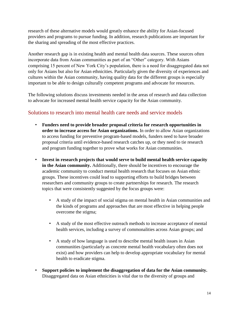research of these alternative models would greatly enhance the ability for Asian-focused providers and programs to pursue funding. In addition, research publications are important for the sharing and spreading of the most effective practices.

Another research gap is in existing health and mental health data sources. These sources often incorporate data from Asian communities as part of an "Other" category. With Asians comprising 15 percent of New York City's population, there is a need for disaggregated data not only for Asians but also for Asian ethnicities. Particularly given the diversity of experiences and cultures within the Asian community, having quality data for the different groups is especially important to be able to design culturally competent programs and advocate for resources.

The following solutions discuss investments needed in the areas of research and data collection to advocate for increased mental health service capacity for the Asian community.

#### Solutions to research into mental health care needs and service models

- **Funders need to provide broader proposal criteria for research opportunities in order to increase access for Asian organizations.** In order to allow Asian organizations to access funding for preventive program-based models, funders need to have broader proposal criteria until evidence-based research catches up, or they need to tie research and program funding together to prove what works for Asian communities.
- **Invest in research projects that would serve to build mental health service capacity in the Asian community.** Additionally, there should be incentives to encourage the academic community to conduct mental health research that focuses on Asian ethnic groups. These incentives could lead to supporting efforts to build bridges between researchers and community groups to create partnerships for research. The research topics that were consistently suggested by the focus groups were:
	- A study of the impact of social stigma on mental health in Asian communities and the kinds of programs and approaches that are most effective in helping people overcome the stigma;
	- A study of the most effective outreach methods to increase acceptance of mental health services, including a survey of commonalities across Asian groups; and
	- A study of how language is used to describe mental health issues in Asian communities (particularly as concrete mental health vocabulary often does not exist) and how providers can help to develop appropriate vocabulary for mental health to eradicate stigma.
- **Support policies to implement the disaggregation of data for the Asian community.** Disaggregated data on Asian ethnicities is vital due to the diversity of groups and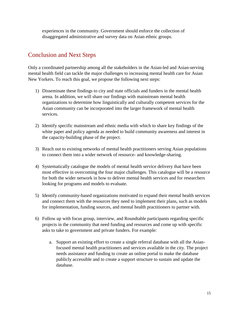experiences in the community. Government should enforce the collection of disaggregated administrative and survey data on Asian ethnic groups.

# Conclusion and Next Steps

Only a coordinated partnership among all the stakeholders in the Asian-led and Asian-serving mental health field can tackle the major challenges to increasing mental health care for Asian New Yorkers. To reach this goal, we propose the following next steps:

- 1) Disseminate these findings to city and state officials and funders in the mental health arena. In addition, we will share our findings with mainstream mental health organizations to determine how linguistically and culturally competent services for the Asian community can be incorporated into the larger framework of mental health services.
- 2) Identify specific mainstream and ethnic media with which to share key findings of the white paper and policy agenda as needed to build community awareness and interest in the capacity-building phase of the project.
- 3) Reach out to existing networks of mental health practitioners serving Asian populations to connect them into a wider network of resource- and knowledge-sharing.
- 4) Systematically catalogue the models of mental health service delivery that have been most effective in overcoming the four major challenges. This catalogue will be a resource for both the wider network in how to deliver mental health services and for researchers looking for programs and models to evaluate.
- 5) Identify community-based organizations motivated to expand their mental health services and connect them with the resources they need to implement their plans, such as models for implementation, funding sources, and mental health practitioners to partner with.
- 6) Follow up with focus group, interview, and Roundtable participants regarding specific projects in the community that need funding and resources and come up with specific asks to take to government and private funders. For example:
	- a. Support an existing effort to create a single referral database with all the Asianfocused mental health practitioners and services available in the city. The project needs assistance and funding to create an online portal to make the database publicly accessible and to create a support structure to sustain and update the database.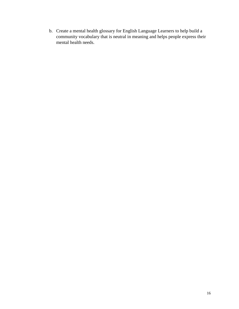b. Create a mental health glossary for English Language Learners to help build a community vocabulary that is neutral in meaning and helps people express their mental health needs.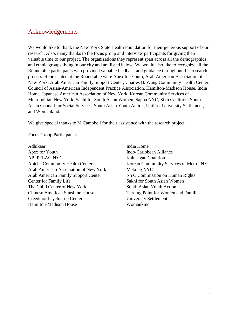## Acknowledgements

We would like to thank the New York State Health Foundation for their generous support of our research. Also, many thanks to the focus group and interview participants for giving their valuable time to our project. The organizations they represent span across all the demographics and ethnic groups living in our city and are listed below. We would also like to recognize all the Roundtable participants who provided valuable feedback and guidance throughout this research process. Represented at the Roundtable were Apex for Youth, Arab American Association of New York, Arab American Family Support Center, Charles B. Wang Community Health Center, Council of Asian-American Independent Practice Association, Hamilton-Madison House, India Home, Japanese American Association of New York, Korean Community Services of Metropolitan New York, Sakhi for South Asian Women, Sapna NYC, Sikh Coalition, South Asian Council for Social Services, South Asian Youth Action, UniPro, University Settlement, and Womankind.

We give special thanks to M Campbell for their assistance with the research project.

Focus Group Participants:

Adhikaar India Home Apex for Youth Indo-Caribbean Alliance API PFLAG NYC Kalusugan Coalition Arab American Association of New York Mekong NYC Arab American Family Support Center NYC Commission on Human Rights Center for Family Life Sakhi for South Asian Women The Child Center of New York South Asian Youth Action Chinese American Sunshine House Turning Point for Women and Families Creedmor Psychiatric Center University Settlement Hamilton-Madison House Womankind

Apicha Community Health Center Korean Community Services of Metro. NY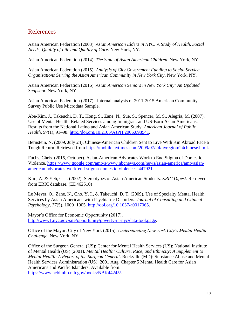## References

Asian American Federation (2003). *Asian American Elders in NYC: A Study of Health, Social Needs, Quality of Life and Quality of Care*. New York, NY.

Asian American Federation (2014). *The State of Asian American Children*. New York, NY.

Asian American Federation (2015). *Analysis of City Government Funding to Social Service Organizations Serving the Asian American Community in New York City*. New York, NY.

Asian American Federation (2016). *Asian American Seniors in New York City: An Updated Snapshot*. New York, NY.

Asian American Federation (2017). Internal analysis of 2011-2015 American Community Survey Public Use Microdata Sample.

Abe-Kim, J., Takeuchi, D. T., Hong, S., Zane, N., Sue, S., Spencer, M. S., Alegría, M. (2007). Use of Mental Health–Related Services among Immigrant and US-Born Asian Americans: Results from the National Latino and Asian American Study. *American Journal of Public Health*, *97*(1), 91–98. [http://doi.org/10.2105/AJPH.2006.098541.](http://doi.org/10.2105/AJPH.2006.098541)

Bernstein, N. (2009, July 24). Chinese-American Children Sent to Live With Kin Abroad Face a Tough Return. Retrieved from [https://mobile.nytimes.com/2009/07/24/nyregion/24chinese.html.](https://mobile.nytimes.com/2009/07/24/nyregion/24chinese.html)

Fuchs, Chris. (2015, October). Asian-American Advocates Work to End Stigma of Domestic Violence. [https://www.google.com/amp/s/www.nbcnews.com/news/asian-america/amp/asian](https://www.google.com/amp/s/www.nbcnews.com/news/asian-america/amp/asian-american-advocates-work-end-stigma-domestic-violence-n447921)[american-advocates-work-end-stigma-domestic-violence-n447921.](https://www.google.com/amp/s/www.nbcnews.com/news/asian-america/amp/asian-american-advocates-work-end-stigma-domestic-violence-n447921)

Kim, A. & Yeh, C. J. (2002). Stereotypes of Asian American Students*. ERIC Digest*. Retrieved from ERIC database. (ED462510)

Le Meyer, O., Zane, N., Cho, Y. I., & Takeuchi, D. T. (2009). Use of Specialty Mental Health Services by Asian Americans with Psychiatric Disorders. *Journal of Consulting and Clinical Psychology*, *77*(5), 1000–1005. [http://doi.org/10.1037/a0017065.](http://doi.org/10.1037/a0017065)

Mayor's Office for Economic Opportunity (2017), [http://www1.nyc.gov/site/opportunity/poverty-in-nyc/data-tool.page.](http://www1.nyc.gov/site/opportunity/poverty-in-nyc/data-tool.page)

Office of the Mayor, City of New York (2015). *Understanding New York City's Mental Health Challenge*. New York, NY.

Office of the Surgeon General (US); Center for Mental Health Services (US); National Institute of Mental Health (US) (2001). *Mental Health: Culture, Race, and Ethnicity: A Supplement to Mental Health: A Report of the Surgeon General*. Rockville (MD): Substance Abuse and Mental Health Services Administration (US); 2001 Aug. Chapter 5 Mental Health Care for Asian Americans and Pacific Islanders. Available from: [https://www.ncbi.nlm.nih.gov/books/NBK44245/.](https://www.ncbi.nlm.nih.gov/books/NBK44245/)